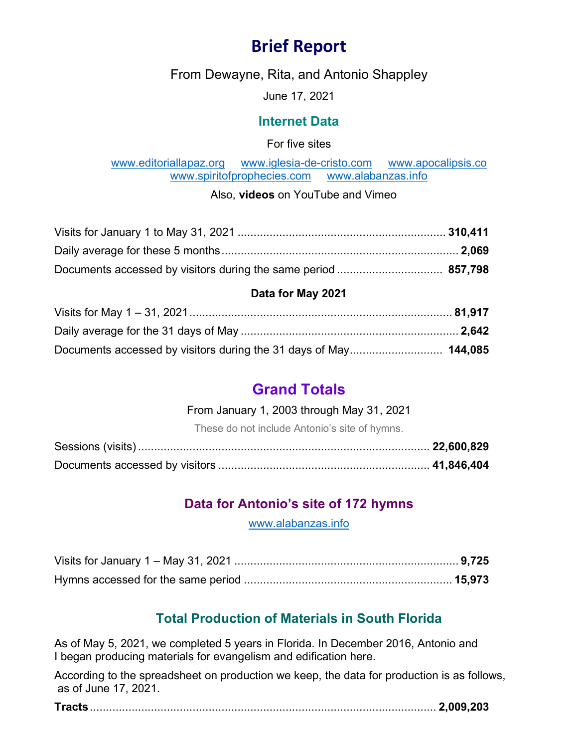# **Brief Report**

From Dewayne, Rita, and Antonio Shappley

June 17, 2021

#### **Internet Data**

For five sites

[www.editoriallapaz.org](http://www.editoriallapaz.org/) [www.iglesia-de-cristo.com](http://www.iglesia-de-cristo.com/) [www.apocalipsis.co](http://www.apocalipsis.co/) [www.spiritofprophecies.com](http://www.spiritofprophecies.com/) [www.alabanzas.info](http://www.alabanzas.info/)

Also, **videos** on YouTube and Vimeo

#### **Data for May 2021**

# **Grand Totals**

#### From January 1, 2003 through May 31, 2021

These do not include Antonio's site of hymns.

# **Data for Antonio's site of 172 hymns**

[www.alabanzas.info](http://www.alabanzas.info/)

# **Total Production of Materials in South Florida**

As of May 5, 2021, we completed 5 years in Florida. In December 2016, Antonio and I began producing materials for evangelism and edification here.

According to the spreadsheet on production we keep, the data for production is as follows, as of June 17, 2021.

|--|--|--|--|